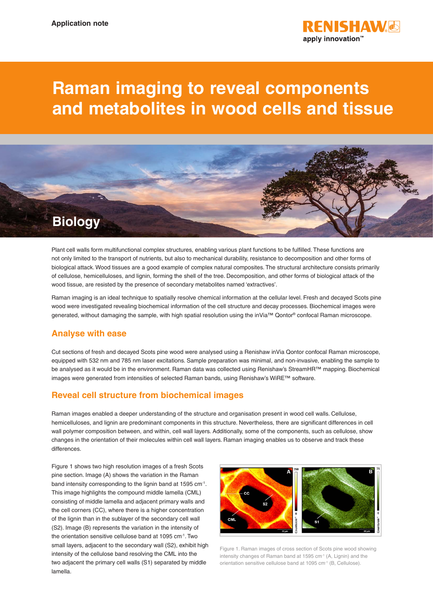

# **Raman imaging to reveal components and metabolites in wood cells and tissue**

## **Biology**

Plant cell walls form multifunctional complex structures, enabling various plant functions to be fulfilled. These functions are not only limited to the transport of nutrients, but also to mechanical durability, resistance to decomposition and other forms of biological attack. Wood tissues are a good example of complex natural composites. The structural architecture consists primarily of cellulose, hemicelluloses, and lignin, forming the shell of the tree. Decomposition, and other forms of biological attack of the wood tissue, are resisted by the presence of secondary metabolites named 'extractives'.

Raman imaging is an ideal technique to spatially resolve chemical information at the cellular level. Fresh and decayed Scots pine wood were investigated revealing biochemical information of the cell structure and decay processes. Biochemical images were generated, without damaging the sample, with high spatial resolution using the inVia™ Qontor® confocal Raman microscope.

## **Analyse with ease**

Cut sections of fresh and decayed Scots pine wood were analysed using a Renishaw inVia Qontor confocal Raman microscope, equipped with 532 nm and 785 nm laser excitations. Sample preparation was minimal, and non-invasive, enabling the sample to be analysed as it would be in the environment. Raman data was collected using Renishaw's StreamHR™ mapping. Biochemical images were generated from intensities of selected Raman bands, using Renishaw's WiRE™ software.

## **Reveal cell structure from biochemical images**

Raman images enabled a deeper understanding of the structure and organisation present in wood cell walls. Cellulose, hemicelluloses, and lignin are predominant components in this structure. Nevertheless, there are significant differences in cell wall polymer composition between, and within, cell wall layers. Additionally, some of the components, such as cellulose, show changes in the orientation of their molecules within cell wall layers. Raman imaging enables us to observe and track these differences.

Figure 1 shows two high resolution images of a fresh Scots pine section. Image (A) shows the variation in the Raman band intensity corresponding to the lignin band at 1595 cm<sup>-1</sup>. This image highlights the compound middle lamella (CML) consisting of middle lamella and adjacent primary walls and the cell corners (CC), where there is a higher concentration of the lignin than in the sublayer of the secondary cell wall (S2). Image (B) represents the variation in the intensity of the orientation sensitive cellulose band at 1095 cm-1. Two small layers, adjacent to the secondary wall (S2), exhibit high intensity of the cellulose band resolving the CML into the two adjacent the primary cell walls (S1) separated by middle lamella.



Figure 1. Raman images of cross section of Scots pine wood showing intensity changes of Raman band at 1595 cm<sup>-1</sup> (A, Lignin) and the orientation sensitive cellulose band at 1095 cm-1 (B, Cellulose).